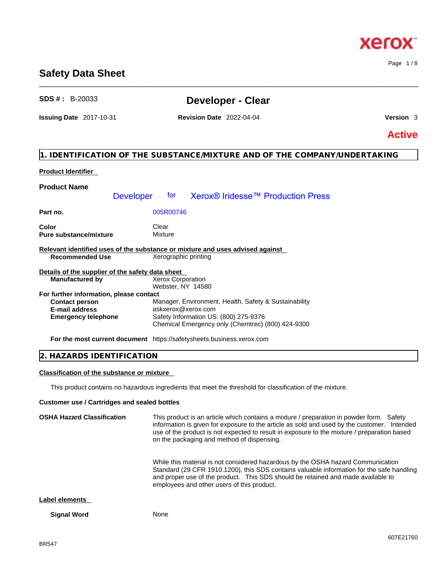### **Safety Data Sheet**

## **SDS # :** B-20033 **Developer - Clear**

\_\_\_\_\_\_\_\_\_\_\_\_\_\_\_\_\_\_\_\_\_\_\_\_\_\_\_\_\_\_\_\_\_\_\_\_\_\_\_\_\_\_\_\_\_\_\_\_\_\_\_\_\_\_\_\_\_\_\_\_\_\_\_\_\_\_\_\_\_\_\_\_\_\_\_\_\_\_\_\_\_\_\_\_\_\_\_\_\_\_\_\_\_\_

### **Issuing Date** 2017-10-31 **Revision Date** 2022-04-04 **Version** 3

**Active**

### **1. IDENTIFICATION OF THE SUBSTANCE/MIXTURE AND OF THE COMPANY/UNDERTAKING**

### **Product Identifier**

#### **Product Name Part no.** 005R00746 **Color** Clear Clear **Pure substance/mixture Mixture Relevant identified uses of the substance or mixture and uses advised against Recommended Use** Xerographic printing **Details of the supplier of the safety data sheet For further information, please contact Emergency telephone** Safety Information US: (800) 275-9376 Chemical Emergency only (Chemtrec) (800) 424-9300 Developer for Xerox® Iridesse<sup>™</sup> Production Press **Manufactured by** Xerox Corporation Webster, NY 14580 **Contact person Manager, Environment, Health, Safety & Sustainability E-mail address** askxerox@xerox.com

**For the most current document** https://safetysheets.business.xerox.com

| <b>TON</b><br>$\sim$<br>$\mathbf{v}$<br>$\cdots$<br>⊭<br>N.<br>. . |  |
|--------------------------------------------------------------------|--|
|                                                                    |  |

#### **Classification of the substance or mixture**

This product contains no hazardous ingredients that meet the threshold for classification of the mixture.

#### **Customer use / Cartridges and sealed bottles**

**OSHA Hazard Classification** This product is an article which contains a mixture / preparation in powder form. Safety information is given for exposure to the article as sold and used by the customer. Intended use of the product is not expected to result in exposure to the mixture / preparation based on the packaging and method of dispensing.

> While this material is not considered hazardous by the OSHA hazard Communication Standard (29 CFR 1910.1200), this SDS contains valuable information for the safe handling and proper use of the product. This SDS should be retained and made available to employees and other users of this product.

#### **Label elements**

**Signal Word** None

xero

Page 1 / 8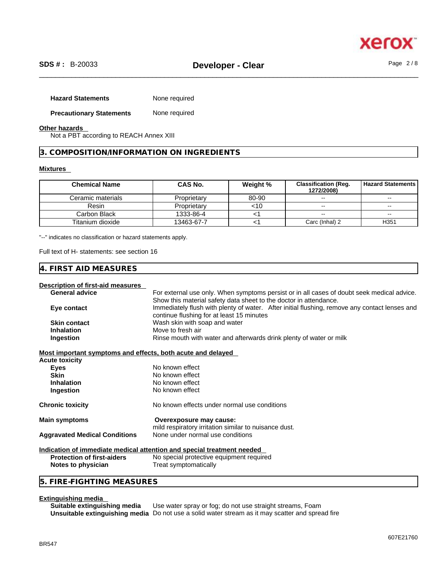

| <b>Hazard Statements</b>        | None required |
|---------------------------------|---------------|
| <b>Precautionary Statements</b> | None required |

#### **Other hazards**

Not a PBT according to REACH Annex XIII

#### **3. COMPOSITION/INFORMATION ON INGREDIENTS**

#### **Mixtures**

| <b>Chemical Name</b> | CAS No.     | Weight % | <b>Classification (Reg.</b><br>1272/2008) | <b>Hazard Statements I</b> |
|----------------------|-------------|----------|-------------------------------------------|----------------------------|
| Ceramic materials    | Proprietary | 80-90    | $-1$                                      | --                         |
| Resin                | Proprietary | <10      | $\overline{\phantom{a}}$                  | $- -$                      |
| Carbon Black         | 1333-86-4   |          | $-1$                                      | $- -$                      |
| Titanium dioxide     | 13463-67-7  |          | Carc (Inhal) 2                            | H <sub>351</sub>           |

"--" indicates no classification or hazard statements apply.

Full text of H- statements: see section 16

#### **4. FIRST AID MEASURES**

#### **Description of first-aid measures**

| <b>General advice</b> | For external use only. When symptoms persist or in all cases of doubt seek medical advice.                                                 |
|-----------------------|--------------------------------------------------------------------------------------------------------------------------------------------|
|                       | Show this material safety data sheet to the doctor in attendance.                                                                          |
| Eye contact           | Immediately flush with plenty of water. After initial flushing, remove any contact lenses and<br>continue flushing for at least 15 minutes |
| <b>Skin contact</b>   | Wash skin with soap and water                                                                                                              |
| <b>Inhalation</b>     | Move to fresh air                                                                                                                          |
| Ingestion             | Rinse mouth with water and afterwards drink plenty of water or milk                                                                        |

**Most important symptoms and effects, both acute and delayed**

| <b>Acute toxicity</b>                |                                                                                           |  |
|--------------------------------------|-------------------------------------------------------------------------------------------|--|
| Eyes                                 | No known effect                                                                           |  |
| <b>Skin</b>                          | No known effect                                                                           |  |
| <b>Inhalation</b>                    | No known effect                                                                           |  |
| Ingestion                            | No known effect                                                                           |  |
| <b>Chronic toxicity</b>              | No known effects under normal use conditions                                              |  |
| <b>Main symptoms</b>                 | Overexposure may cause:                                                                   |  |
| <b>Aggravated Medical Conditions</b> | mild respiratory irritation similar to nuisance dust.<br>None under normal use conditions |  |
|                                      | Indication of immediate medical attention and special treatment needed                    |  |

#### **Indication of immediate medical attention and special treatment needed Protection of first-aiders** No special protective equipment required **Notes to physician** Treat symptomatically

#### **5. FIRE-FIGHTING MEASURES**

#### **Extinguishing media**

**Suitable extinguishing media** Use water spray or fog; do not use straight streams, Foam **Unsuitable extinguishing media** Do not use a solid water stream as it may scatterand spread fire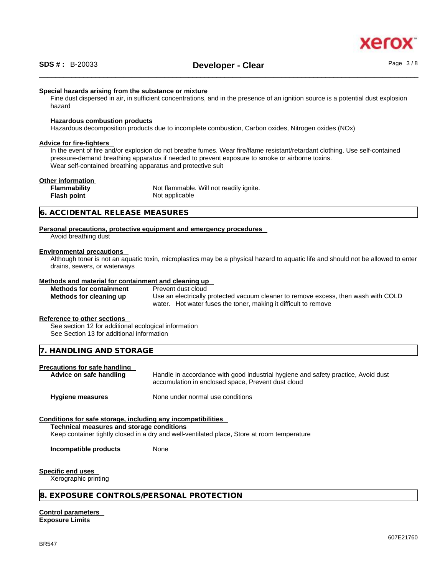

#### **Special hazards arising from the substance or mixture**

Fine dust dispersed in air, in sufficient concentrations, and in the presence of an ignition source is a potential dust explosion hazard

#### **Hazardous combustion products**

Hazardous decomposition products due to incomplete combustion, Carbon oxides, Nitrogen oxides (NOx)

#### **Advice for fire-fighters**

In the event of fire and/or explosion do not breathe fumes. Wear fire/flame resistant/retardant clothing. Use self-contained pressure-demand breathing apparatus if needed to prevent exposure to smoke or airborne toxins. Wear self-contained breathing apparatus and protective suit

## **Other information**

| <b>Flammability</b> | Not flammable. Will not readily ignite. |
|---------------------|-----------------------------------------|
| Flash point         | Not applicable                          |
|                     |                                         |

#### **6. ACCIDENTAL RELEASE MEASURES**

#### **Personal precautions, protective equipment and emergency procedures** Avoid breathing dust

#### **Environmental precautions**

Although toner is not an aquatic toxin, microplastics may be a physical hazard to aquatic life and should not be allowed to enter drains, sewers, or waterways

#### **Methods and material for containment and cleaning up**

| <b>Methods for containment</b> | Prevent dust cloud                                                                 |
|--------------------------------|------------------------------------------------------------------------------------|
| Methods for cleaning up        | Use an electrically protected vacuum cleaner to remove excess, then wash with COLD |
|                                | water. Hot water fuses the toner, making it difficult to remove                    |

#### **Reference to other sections**

See section 12 for additional ecological information See Section 13 for additional information

**7. HANDLING AND STORAGE** 

## **Precautions for safe handling**

Handle in accordance with good industrial hygiene and safety practice, Avoid dust accumulation in enclosed space, Prevent dust cloud

**Hygiene measures** None under normal use conditions

#### **Conditions for safe storage, including any incompatibilities**

**Technical measures and storage conditions**

Keep container tightly closed in a dry and well-ventilated place, Store at room temperature

**Incompatible products** None

#### **Specific end uses**

Xerographic printing

#### **8. EXPOSURE CONTROLS/PERSONAL PROTECTION**

**Control parameters Exposure Limits**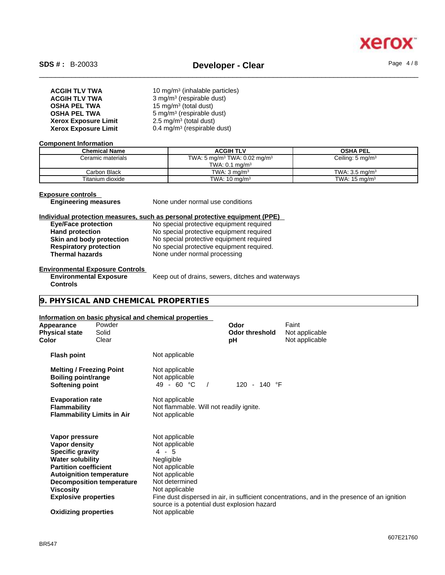

| <b>ACGIH TLV TWA</b>        | 10 mg/m <sup>3</sup> (inhalable particles) |
|-----------------------------|--------------------------------------------|
| <b>ACGIH TLV TWA</b>        | 3 mg/m <sup>3</sup> (respirable dust)      |
| <b>OSHA PEL TWA</b>         | 15 mg/m <sup>3</sup> (total dust)          |
| <b>OSHA PEL TWA</b>         | 5 mg/m <sup>3</sup> (respirable dust)      |
| <b>Xerox Exposure Limit</b> | $2.5 \text{ mg/m}^3$ (total dust)          |
| <b>Xerox Exposure Limit</b> | 0.4 mg/m <sup>3</sup> (respirable dust)    |

#### **Component Information**

| <b>Chemical Name</b> | <b>ACGIH TLV</b>                                     | <b>OSHA PEL</b>             |
|----------------------|------------------------------------------------------|-----------------------------|
| Ceramic materials    | TWA: 5 mg/m <sup>3</sup> TWA: 0.02 mg/m <sup>3</sup> | Ceiling: $5 \text{ mg/m}^3$ |
|                      | TWA: $0.1$ mg/m <sup>3</sup>                         |                             |
| Carbon Black         | TWA: $3 \text{ ma/m}^3$                              | TWA: $3.5 \text{ mg/m}^3$   |
| Titanium dioxide     | TWA: $10 \text{ mg/m}^3$                             | TWA: $15 \text{ mg/m}^3$    |

**Exposure controls** 

**Engineering measures** None under normal use conditions

#### **Individual protection measures, such as personal protective equipment (PPE)**

| <b>Eye/Face protection</b>    | No special protective equipment required  |
|-------------------------------|-------------------------------------------|
| <b>Hand protection</b>        | No special protective equipment required  |
| Skin and body protection      | No special protective equipment required  |
| <b>Respiratory protection</b> | No special protective equipment required. |
| <b>Thermal hazards</b>        | None under normal processing              |

#### **Environmental Exposure Controls**

**Environmental Exposure** Keep out of drains, sewers, ditches and waterways

**Controls** 

**9. PHYSICAL AND CHEMICAL PROPERTIES** 

#### **Information on basic physical and chemical properties**

| Appearance<br><b>Physical state</b><br>Color                                     | Powder<br>Solid<br>Clear          |                                                                             | Odor<br><b>Odor threshold</b><br>рH | Faint<br>Not applicable<br>Not applicable                                                    |
|----------------------------------------------------------------------------------|-----------------------------------|-----------------------------------------------------------------------------|-------------------------------------|----------------------------------------------------------------------------------------------|
| <b>Flash point</b>                                                               |                                   | Not applicable                                                              |                                     |                                                                                              |
| <b>Melting / Freezing Point</b><br><b>Boiling point/range</b><br>Softening point |                                   | Not applicable<br>Not applicable<br>$49 - 60 °C$                            | 120 - 140 °F                        |                                                                                              |
| <b>Evaporation rate</b><br><b>Flammability</b>                                   | <b>Flammability Limits in Air</b> | Not applicable<br>Not flammable. Will not readily ignite.<br>Not applicable |                                     |                                                                                              |
| Vapor pressure<br>Vapor density                                                  |                                   | Not applicable<br>Not applicable                                            |                                     |                                                                                              |
| <b>Specific gravity</b>                                                          |                                   | $4 - 5$                                                                     |                                     |                                                                                              |
| <b>Water solubility</b><br><b>Partition coefficient</b>                          |                                   | Negligible<br>Not applicable                                                |                                     |                                                                                              |
|                                                                                  | <b>Autoignition temperature</b>   | Not applicable                                                              |                                     |                                                                                              |
|                                                                                  | <b>Decomposition temperature</b>  | Not determined                                                              |                                     |                                                                                              |
| Viscosity                                                                        |                                   | Not applicable                                                              |                                     |                                                                                              |
| <b>Explosive properties</b>                                                      |                                   | source is a potential dust explosion hazard                                 |                                     | Fine dust dispersed in air, in sufficient concentrations, and in the presence of an ignition |
| <b>Oxidizing properties</b>                                                      |                                   | Not applicable                                                              |                                     |                                                                                              |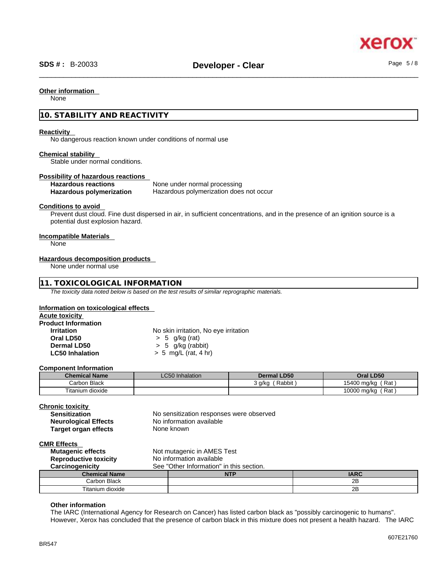#### **Other information**

None

#### **10. STABILITY AND REACTIVITY**

#### **Reactivity**

No dangerous reaction known under conditions of normal use

#### **Chemical stability**

Stable under normal conditions.

## **Possibility of hazardous reactions**

**None under normal processing Hazardous polymerization** Hazardous polymerization does not occur

#### **Conditions to avoid**

Prevent dust cloud. Fine dust dispersed in air, in sufficient concentrations, and in the presence of an ignition source is a potential dust explosion hazard.

#### **Incompatible Materials**

None

#### **Hazardous decomposition products**

None under normal use

#### **11. TOXICOLOGICAL INFORMATION**

*The toxicity data noted below is based on the test results of similar reprographic materials.* 

#### **Information on toxicological effects**

| Acute toxicity             |                                       |
|----------------------------|---------------------------------------|
| <b>Product Information</b> |                                       |
| <b>Irritation</b>          | No skin irritation, No eye irritation |
| Oral LD50                  | $> 5$ g/kg (rat)                      |
| Dermal LD50                | $> 5$ g/kg (rabbit)                   |
| <b>LC50 Inhalation</b>     | $> 5$ mg/L (rat, 4 hr)                |

#### **Component Information**

| <b>Chemical Name</b> | <b>LC50</b> Inhalation | <b>Dermal LD50</b> | Oral LD50            |
|----------------------|------------------------|--------------------|----------------------|
| Carbon Black         |                        | Rabbit<br>3 g/kg   | ์ Rat<br>15400 mg/kg |
| Titanium dioxide     |                        |                    | Rat<br>10000 mg/kg   |

| <b>Chronic toxicity</b>                                     |  |                                          |             |
|-------------------------------------------------------------|--|------------------------------------------|-------------|
| <b>Sensitization</b>                                        |  | No sensitization responses were observed |             |
| <b>Neurological Effects</b>                                 |  | No information available                 |             |
| <b>Target organ effects</b>                                 |  | None known                               |             |
| <b>CMR Effects</b>                                          |  |                                          |             |
| Not mutagenic in AMES Test<br><b>Mutagenic effects</b>      |  |                                          |             |
| <b>Reproductive toxicity</b><br>No information available    |  |                                          |             |
| See "Other Information" in this section.<br>Carcinogenicity |  |                                          |             |
| <b>Chemical Name</b>                                        |  | <b>NTP</b>                               | <b>IARC</b> |
| Carbon Black                                                |  |                                          | 2Β          |

Titanium dioxide 2B

#### **Other information**

The IARC (International Agency for Research on Cancer) has listed carbon black as "possibly carcinogenic to humans". However, Xerox has concluded that the presence of carbon black in this mixture does not present a health hazard. The IARC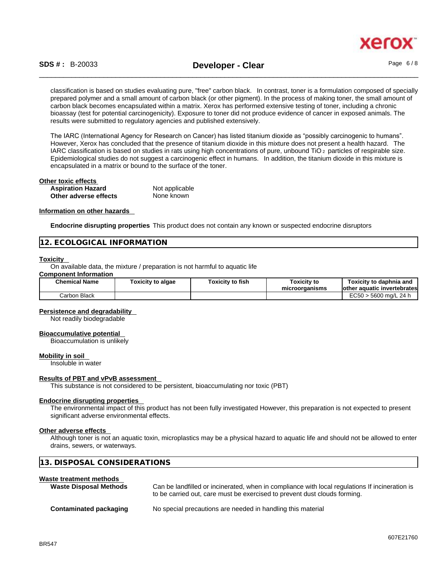

classification is based on studies evaluating pure, "free" carbon black. In contrast, toner is a formulation composed of specially prepared polymer and a small amount of carbon black (or other pigment). In the process of making toner, the small amount of carbon black becomes encapsulated within a matrix. Xerox has performed extensive testing of toner, including a chronic bioassay (test for potential carcinogenicity). Exposure to toner did not produce evidence of cancer in exposed animals. The results were submitted to regulatory agencies and published extensively.

The IARC (International Agency for Research on Cancer) has listed titanium dioxide as "possibly carcinogenic to humans". However, Xerox has concluded that the presence of titanium dioxide in this mixture does not present a health hazard. The IARC classification is based on studies in rats using high concentrations of pure, unbound TiO 2 particles of respirable size. Epidemiological studies do not suggest a carcinogenic effect in humans. In addition, the titanium dioxide in this mixture is encapsulated in a matrix or bound to the surface of the toner.

| Other toxic effects      |                |  |
|--------------------------|----------------|--|
| <b>Aspiration Hazard</b> | Not applicable |  |
| Other adverse effects    | None known     |  |

#### **Information on other hazards**

**Endocrine disrupting properties** This product does not contain any known or suspected endocrine disruptors

#### **12. ECOLOGICAL INFORMATION**

#### **Toxicity**

On available data, the mixture / preparation is not harmful to aquatic life

#### **Component Information**

| <b>Chemical Name</b> | Γoxicity to algae | Toxicitv to fish | <b>Toxicity to</b><br>microorganisms | Toxicitv to daphnia and<br>lother aquatic invertebrates |
|----------------------|-------------------|------------------|--------------------------------------|---------------------------------------------------------|
| Black<br>.Carbon     |                   |                  |                                      | $\n  ~$<br>) > 5600 ma/L 24 h<br>−∪∪∪                   |

#### **Persistence and degradability**

Not readily biodegradable

#### **Bioaccumulative potential**

Bioaccumulation is unlikely

#### **Mobility in soil**

Insoluble in water

#### **Results of PBT and vPvB assessment**

This substance is not considered to be persistent, bioaccumulating nor toxic (PBT)

#### **Endocrine disrupting properties**

The environmental impact of this product has not been fully investigated However, this preparation is not expected to present significant adverse environmental effects.

#### **Other adverse effects**

Although toner is not an aquatic toxin, microplastics may be a physical hazard to aquatic life and should not be allowed to enter drains, sewers, or waterways.

#### **13. DISPOSAL CONSIDERATIONS**

#### **Waste treatment methods**

| <b>Waste Disposal Methods</b> | Can be landfilled or incinerated, when in compliance with local regulations If incineration is<br>to be carried out, care must be exercised to prevent dust clouds forming. |
|-------------------------------|-----------------------------------------------------------------------------------------------------------------------------------------------------------------------------|
| Contaminated packaging        | No special precautions are needed in handling this material                                                                                                                 |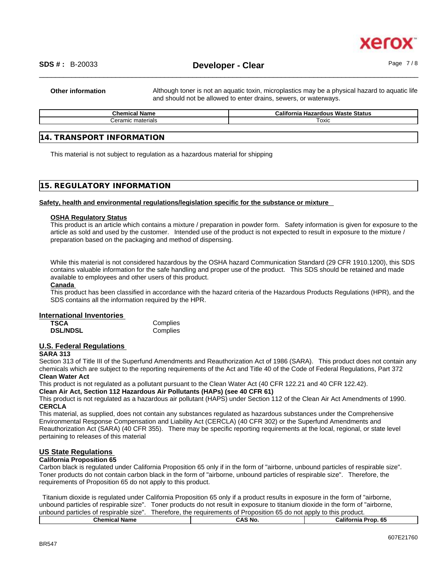

**Other information** Although toner is not an aquatic toxin, microplastics may be a physical hazard to aquatic life and should not be allowed to enter drains, sewers, or waterways.

| - -<br><b>Chemical</b><br><b>Name</b> | <b>Hazardous Waste Status</b><br>California |
|---------------------------------------|---------------------------------------------|
| $\sim$ r $\sim$ n<br>materials        | ™охіс                                       |
|                                       |                                             |

#### **14. TRANSPORT INFORMATION**

This material is not subject to regulation as a hazardous material for shipping

#### **15. REGULATORY INFORMATION**

#### **Safety, health and environmental regulations/legislation specific for the substance or mixture**

#### **OSHA Regulatory Status**

This product is an article which contains a mixture / preparation in powder form. Safety information is given for exposure to the article as sold and used by the customer. Intended use of the product is not expected to result in exposure to the mixture / preparation based on the packaging and method of dispensing.

While this material is not considered hazardous by the OSHA hazard Communication Standard (29 CFR 1910.1200), this SDS contains valuable information for the safe handling and proper use of the product. This SDS should be retained and made available to employees and other users of this product.

#### **Canada**

This product has been classified in accordance with the hazard criteria of the Hazardous Products Regulations (HPR), and the SDS contains all the information required by the HPR.

#### **International Inventories**

| <b>TSCA</b>     | Complies |
|-----------------|----------|
| <b>DSL/NDSL</b> | Complies |

### **U.S. Federal Regulations**

#### **SARA 313**

Section 313 of Title III of the Superfund Amendments and Reauthorization Act of 1986 (SARA). This product does not contain any chemicals which are subject to the reporting requirements of the Act and Title 40 of the Code of Federal Regulations, Part 372 **Clean Water Act**

This product is not regulated as a pollutant pursuant to the Clean Water Act (40 CFR 122.21 and 40 CFR 122.42).

**Clean Air Act,Section 112 Hazardous Air Pollutants (HAPs) (see 40 CFR 61)**

This product is not regulated as a hazardous air pollutant (HAPS) under Section 112 of the Clean Air Act Amendments of 1990. **CERCLA**

This material, as supplied, does not contain any substances regulated as hazardous substances under the Comprehensive Environmental Response Compensation and Liability Act (CERCLA) (40 CFR 302) or the Superfund Amendments and Reauthorization Act (SARA) (40 CFR 355). There may be specific reporting requirements at the local, regional, or state level pertaining to releases of this material

#### **US State Regulations**

#### **California Proposition 65**

Carbon black is regulated under California Proposition 65 only if in the form of "airborne, unbound particles of respirable size". Toner products do not contain carbon black in the form of "airborne, unbound particles of respirable size". Therefore, the requirements of Proposition 65 do not apply to this product.

Titanium dioxide is regulated under California Proposition 65 only if a product results in exposure in the form of "airborne, unbound particles of respirable size". Toner products do not result in exposure to titanium dioxide in the form of "airborne, unbound particles of respirable size". Therefore, the requirements of Proposition 65 do not apply to this product.

| Chemic<br>1.1<br>name<br>ннысан | .NO<br>$\sim$<br>,,,, | <b>Califorr</b><br>.<br>. .<br>70 D<br>лне |
|---------------------------------|-----------------------|--------------------------------------------|
|                                 |                       |                                            |